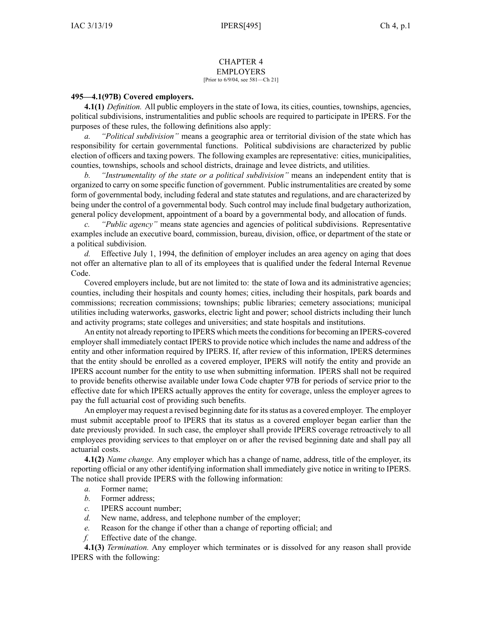# CHAPTER 4 EMPLOYERS

## [Prior to 6/9/04, see 581—Ch 21]

#### **495—4.1(97B) Covered employers.**

**4.1(1)** *Definition.* All public employers in the state of Iowa, its cities, counties, townships, agencies, political subdivisions, instrumentalities and public schools are required to participate in IPERS. For the purposes of these rules, the following definitions also apply:

*a. "Political subdivision"* means <sup>a</sup> geographic area or territorial division of the state which has responsibility for certain governmental functions. Political subdivisions are characterized by public election of officers and taxing powers. The following examples are representative: cities, municipalities, counties, townships, schools and school districts, drainage and levee districts, and utilities.

*b. "Instrumentality of the state or <sup>a</sup> political subdivision"* means an independent entity that is organized to carry on some specific function of government. Public instrumentalities are created by some form of governmental body, including federal and state statutes and regulations, and are characterized by being under the control of <sup>a</sup> governmental body. Such control may include final budgetary authorization, general policy development, appointment of <sup>a</sup> board by <sup>a</sup> governmental body, and allocation of funds.

*c. "Public agency"* means state agencies and agencies of political subdivisions. Representative examples include an executive board, commission, bureau, division, office, or department of the state or <sup>a</sup> political subdivision.

*d.* Effective July 1, 1994, the definition of employer includes an area agency on aging that does not offer an alternative plan to all of its employees that is qualified under the federal Internal Revenue Code.

Covered employers include, but are not limited to: the state of Iowa and its administrative agencies; counties, including their hospitals and county homes; cities, including their hospitals, park boards and commissions; recreation commissions; townships; public libraries; cemetery associations; municipal utilities including waterworks, gasworks, electric light and power; school districts including their lunch and activity programs; state colleges and universities; and state hospitals and institutions.

An entity not already reporting to IPERS which meets the conditions for becoming an IPERS-covered employer shall immediately contact IPERS to provide notice which includes the name and address of the entity and other information required by IPERS. If, after review of this information, IPERS determines that the entity should be enrolled as <sup>a</sup> covered employer, IPERS will notify the entity and provide an IPERS account number for the entity to use when submitting information. IPERS shall not be required to provide benefits otherwise available under Iowa Code chapter [97B](https://www.legis.iowa.gov/docs/ico/chapter/97B.pdf) for periods of service prior to the effective date for which IPERS actually approves the entity for coverage, unless the employer agrees to pay the full actuarial cost of providing such benefits.

An employer may reques<sup>t</sup> <sup>a</sup> revised beginning date for itsstatus as <sup>a</sup> covered employer. The employer must submit acceptable proof to IPERS that its status as <sup>a</sup> covered employer began earlier than the date previously provided. In such case, the employer shall provide IPERS coverage retroactively to all employees providing services to that employer on or after the revised beginning date and shall pay all actuarial costs.

**4.1(2)** *Name change.* Any employer which has <sup>a</sup> change of name, address, title of the employer, its reporting official or any other identifying information shall immediately give notice in writing to IPERS. The notice shall provide IPERS with the following information:

- *a.* Former name;
- *b.* Former address;
- *c.* IPERS account number;
- *d.* New name, address, and telephone number of the employer;
- *e.* Reason for the change if other than <sup>a</sup> change of reporting official; and
- *f.* Effective date of the change.

**4.1(3)** *Termination.* Any employer which terminates or is dissolved for any reason shall provide IPERS with the following: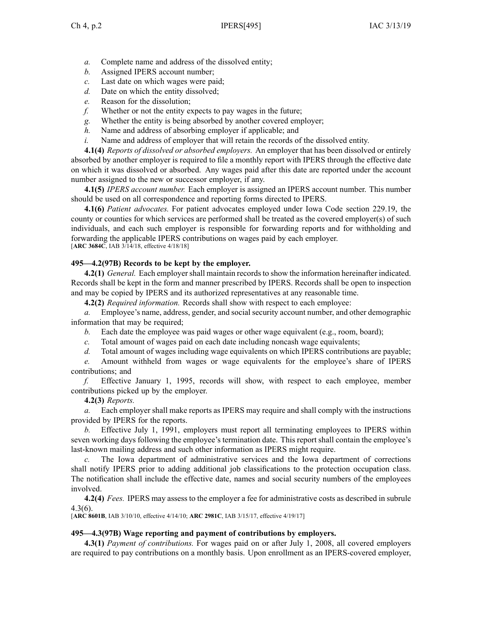- *a.* Complete name and address of the dissolved entity;
- *b.* Assigned IPERS account number;
- *c.* Last date on which wages were paid;
- *d.* Date on which the entity dissolved;
- *e.* Reason for the dissolution;
- *f.* Whether or not the entity expects to pay wages in the future;
- *g.* Whether the entity is being absorbed by another covered employer;
- *h.* Name and address of absorbing employer if applicable; and
- *i.* Name and address of employer that will retain the records of the dissolved entity.

**4.1(4)** *Reports of dissolved or absorbed employers.* An employer that has been dissolved or entirely absorbed by another employer is required to file <sup>a</sup> monthly repor<sup>t</sup> with IPERS through the effective date on which it was dissolved or absorbed. Any wages paid after this date are reported under the account number assigned to the new or successor employer, if any.

**4.1(5)** *IPERS account number.* Each employer is assigned an IPERS account number. This number should be used on all correspondence and reporting forms directed to IPERS.

**4.1(6)** *Patient advocates.* For patient advocates employed under Iowa Code section [229.19](https://www.legis.iowa.gov/docs/ico/section/229.19.pdf), the county or counties for which services are performed shall be treated as the covered employer(s) of such individuals, and each such employer is responsible for forwarding reports and for withholding and forwarding the applicable IPERS contributions on wages paid by each employer. [**ARC [3684C](https://www.legis.iowa.gov/docs/aco/arc/3684C.pdf)**, IAB 3/14/18, effective 4/18/18]

### **495—4.2(97B) Records to be kept by the employer.**

**4.2(1)** *General.* Each employer shall maintain records to show the information hereinafter indicated. Records shall be kept in the form and manner prescribed by IPERS. Records shall be open to inspection and may be copied by IPERS and its authorized representatives at any reasonable time.

**4.2(2)** *Required information.* Records shall show with respec<sup>t</sup> to each employee:

*a.* Employee's name, address, gender, and social security account number, and other demographic information that may be required;

*b.* Each date the employee was paid wages or other wage equivalent (e.g., room, board);

*c.* Total amount of wages paid on each date including noncash wage equivalents;

*d.* Total amount of wages including wage equivalents on which IPERS contributions are payable;

*e.* Amount withheld from wages or wage equivalents for the employee's share of IPERS contributions; and

*f.* Effective January 1, 1995, records will show, with respec<sup>t</sup> to each employee, member contributions picked up by the employer.

#### **4.2(3)** *Reports.*

*a.* Each employer shall make reports as IPERS may require and shall comply with the instructions provided by IPERS for the reports.

*b.* Effective July 1, 1991, employers must repor<sup>t</sup> all terminating employees to IPERS within seven working days following the employee's termination date. This repor<sup>t</sup> shall contain the employee's last-known mailing address and such other information as IPERS might require.

*c.* The Iowa department of administrative services and the Iowa department of corrections shall notify IPERS prior to adding additional job classifications to the protection occupation class. The notification shall include the effective date, names and social security numbers of the employees involved.

**4.2(4)** *Fees.* IPERS may assess to the employer <sup>a</sup> fee for administrative costs as described in subrule [4.3\(6\)](https://www.legis.iowa.gov/docs/iac/rule/495.4.3.pdf).

[**ARC [8601B](https://www.legis.iowa.gov/docs/aco/arc/8601B.pdf)**, IAB 3/10/10, effective 4/14/10; **ARC [2981C](https://www.legis.iowa.gov/docs/aco/arc/2981C.pdf)**, IAB 3/15/17, effective 4/19/17]

#### **495—4.3(97B) Wage reporting and payment of contributions by employers.**

**4.3(1)** *Payment of contributions.* For wages paid on or after July 1, 2008, all covered employers are required to pay contributions on <sup>a</sup> monthly basis. Upon enrollment as an IPERS-covered employer,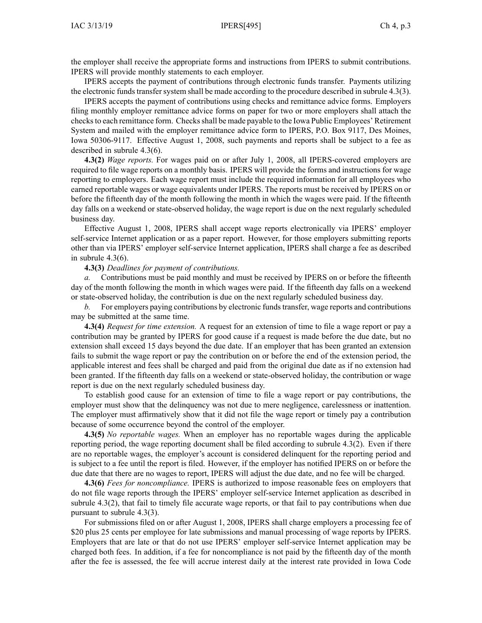the employer shall receive the appropriate forms and instructions from IPERS to submit contributions. IPERS will provide monthly statements to each employer.

IPERS accepts the paymen<sup>t</sup> of contributions through electronic funds transfer. Payments utilizing the electronic funds transfer system shall be made according to the procedure described in subrule [4.3\(3\)](https://www.legis.iowa.gov/docs/iac/rule/495.4.3.pdf).

IPERS accepts the paymen<sup>t</sup> of contributions using checks and remittance advice forms. Employers filing monthly employer remittance advice forms on paper for two or more employers shall attach the checks to each remittance form. Checks shall be made payable to the Iowa Public Employees' Retirement System and mailed with the employer remittance advice form to IPERS, P.O. Box 9117, Des Moines, Iowa 50306-9117. Effective August 1, 2008, such payments and reports shall be subject to <sup>a</sup> fee as described in subrule [4.3\(6\)](https://www.legis.iowa.gov/docs/iac/rule/495.4.3.pdf).

**4.3(2)** *Wage reports.* For wages paid on or after July 1, 2008, all IPERS-covered employers are required to file wage reports on <sup>a</sup> monthly basis. IPERS will provide the forms and instructions for wage reporting to employers. Each wage repor<sup>t</sup> must include the required information for all employees who earned reportable wages or wage equivalents under IPERS. The reports must be received by IPERS on or before the fifteenth day of the month following the month in which the wages were paid. If the fifteenth day falls on <sup>a</sup> weekend or state-observed holiday, the wage repor<sup>t</sup> is due on the next regularly scheduled business day.

Effective August 1, 2008, IPERS shall accep<sup>t</sup> wage reports electronically via IPERS' employer self-service Internet application or as <sup>a</sup> paper report. However, for those employers submitting reports other than via IPERS' employer self-service Internet application, IPERS shall charge <sup>a</sup> fee as described in subrule [4.3\(6\)](https://www.legis.iowa.gov/docs/iac/rule/495.4.3.pdf).

#### **4.3(3)** *Deadlines for paymen<sup>t</sup> of contributions.*

*a.* Contributions must be paid monthly and must be received by IPERS on or before the fifteenth day of the month following the month in which wages were paid. If the fifteenth day falls on <sup>a</sup> weekend or state-observed holiday, the contribution is due on the next regularly scheduled business day.

*b.* For employers paying contributions by electronic funds transfer, wage reports and contributions may be submitted at the same time.

**4.3(4)** *Request for time extension.* A reques<sup>t</sup> for an extension of time to file <sup>a</sup> wage repor<sup>t</sup> or pay <sup>a</sup> contribution may be granted by IPERS for good cause if <sup>a</sup> reques<sup>t</sup> is made before the due date, but no extension shall exceed 15 days beyond the due date. If an employer that has been granted an extension fails to submit the wage repor<sup>t</sup> or pay the contribution on or before the end of the extension period, the applicable interest and fees shall be charged and paid from the original due date as if no extension had been granted. If the fifteenth day falls on <sup>a</sup> weekend or state-observed holiday, the contribution or wage repor<sup>t</sup> is due on the next regularly scheduled business day.

To establish good cause for an extension of time to file <sup>a</sup> wage repor<sup>t</sup> or pay contributions, the employer must show that the delinquency was not due to mere negligence, carelessness or inattention. The employer must affirmatively show that it did not file the wage repor<sup>t</sup> or timely pay <sup>a</sup> contribution because of some occurrence beyond the control of the employer.

**4.3(5)** *No reportable wages.* When an employer has no reportable wages during the applicable reporting period, the wage reporting document shall be filed according to subrule [4.3\(2\)](https://www.legis.iowa.gov/docs/iac/rule/495.4.3.pdf). Even if there are no reportable wages, the employer's account is considered delinquent for the reporting period and is subject to <sup>a</sup> fee until the repor<sup>t</sup> is filed. However, if the employer has notified IPERS on or before the due date that there are no wages to report, IPERS will adjust the due date, and no fee will be charged.

**4.3(6)** *Fees for noncompliance.* IPERS is authorized to impose reasonable fees on employers that do not file wage reports through the IPERS' employer self-service Internet application as described in subrule [4.3\(2\)](https://www.legis.iowa.gov/docs/iac/rule/495.4.3.pdf), that fail to timely file accurate wage reports, or that fail to pay contributions when due pursuan<sup>t</sup> to subrule [4.3\(3\)](https://www.legis.iowa.gov/docs/iac/rule/495.4.3.pdf).

For submissions filed on or after August 1, 2008, IPERS shall charge employers <sup>a</sup> processing fee of \$20 plus 25 cents per employee for late submissions and manual processing of wage reports by IPERS. Employers that are late or that do not use IPERS' employer self-service Internet application may be charged both fees. In addition, if <sup>a</sup> fee for noncompliance is not paid by the fifteenth day of the month after the fee is assessed, the fee will accrue interest daily at the interest rate provided in Iowa Code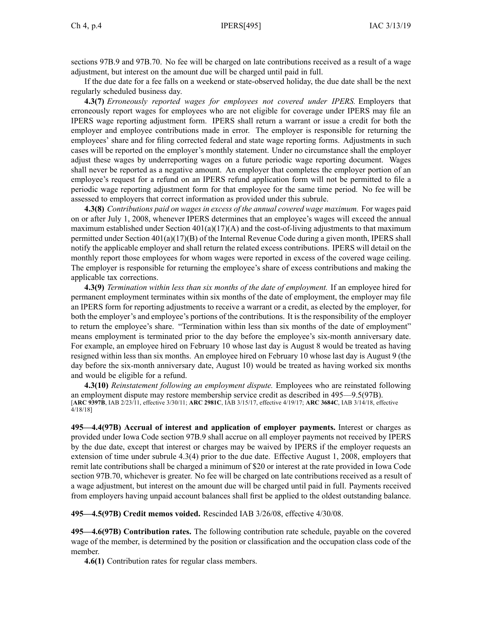sections 97B.9 and [97B.70](https://www.legis.iowa.gov/docs/ico/section/97B.70.pdf). No fee will be charged on late contributions received as <sup>a</sup> result of <sup>a</sup> wage adjustment, but interest on the amount due will be charged until paid in full.

If the due date for <sup>a</sup> fee falls on <sup>a</sup> weekend or state-observed holiday, the due date shall be the next regularly scheduled business day.

**4.3(7)** *Erroneously reported wages for employees not covered under IPERS.* Employers that erroneously repor<sup>t</sup> wages for employees who are not eligible for coverage under IPERS may file an IPERS wage reporting adjustment form. IPERS shall return <sup>a</sup> warrant or issue <sup>a</sup> credit for both the employer and employee contributions made in error. The employer is responsible for returning the employees' share and for filing corrected federal and state wage reporting forms. Adjustments in such cases will be reported on the employer's monthly statement. Under no circumstance shall the employer adjust these wages by underreporting wages on <sup>a</sup> future periodic wage reporting document. Wages shall never be reported as <sup>a</sup> negative amount. An employer that completes the employer portion of an employee's reques<sup>t</sup> for <sup>a</sup> refund on an IPERS refund application form will not be permitted to file <sup>a</sup> periodic wage reporting adjustment form for that employee for the same time period. No fee will be assessed to employers that correct information as provided under this subrule.

**4.3(8)** *Contributions paid on wages in excess of the annual covered wage maximum.* For wages paid on or after July 1, 2008, whenever IPERS determines that an employee's wages will exceed the annual maximum established under Section  $401(a)(17)(A)$  and the cost-of-living adjustments to that maximum permitted under Section 401(a)(17)(B) of the Internal Revenue Code during <sup>a</sup> given month, IPERS shall notify the applicable employer and shall return the related excess contributions. IPERS will detail on the monthly repor<sup>t</sup> those employees for whom wages were reported in excess of the covered wage ceiling. The employer is responsible for returning the employee's share of excess contributions and making the applicable tax corrections.

**4.3(9)** *Termination within less than six months of the date of employment.* If an employee hired for permanen<sup>t</sup> employment terminates within six months of the date of employment, the employer may file an IPERS form for reporting adjustments to receive <sup>a</sup> warrant or <sup>a</sup> credit, as elected by the employer, for both the employer's and employee's portions of the contributions. It is the responsibility of the employer to return the employee's share. "Termination within less than six months of the date of employment" means employment is terminated prior to the day before the employee's six-month anniversary date. For example, an employee hired on February 10 whose last day is August 8 would be treated as having resigned within less than six months. An employee hired on February 10 whose last day is August 9 (the day before the six-month anniversary date, August 10) would be treated as having worked six months and would be eligible for <sup>a</sup> refund.

**4.3(10)** *Reinstatement following an employment dispute.* Employees who are reinstated following an employment dispute may restore membership service credit as described in [495—9.5](https://www.legis.iowa.gov/docs/iac/rule/495.9.5.pdf)(97B). [**ARC [9397B](https://www.legis.iowa.gov/docs/aco/arc/9397B.pdf)**, IAB 2/23/11, effective 3/30/11; **ARC [2981C](https://www.legis.iowa.gov/docs/aco/arc/2981C.pdf)**, IAB 3/15/17, effective 4/19/17; **ARC [3684C](https://www.legis.iowa.gov/docs/aco/arc/3684C.pdf)**, IAB 3/14/18, effective 4/18/18]

**495—4.4(97B) Accrual of interest and application of employer payments.** Interest or charges as provided under Iowa Code section [97B.9](https://www.legis.iowa.gov/docs/ico/section/97B.9.pdf) shall accrue on all employer payments not received by IPERS by the due date, excep<sup>t</sup> that interest or charges may be waived by IPERS if the employer requests an extension of time under subrule [4.3\(4\)](https://www.legis.iowa.gov/docs/iac/rule/495.4.3.pdf) prior to the due date. Effective August 1, 2008, employers that remit late contributions shall be charged <sup>a</sup> minimum of \$20 or interest at the rate provided in Iowa Code section [97B.70](https://www.legis.iowa.gov/docs/ico/section/97B.70.pdf), whichever is greater. No fee will be charged on late contributions received as <sup>a</sup> result of <sup>a</sup> wage adjustment, but interest on the amount due will be charged until paid in full. Payments received from employers having unpaid account balances shall first be applied to the oldest outstanding balance.

**495—4.5(97B) Credit memos voided.** Rescinded IAB [3/26/08](https://www.legis.iowa.gov/docs/aco/bulletin/03-26-2008.pdf), effective 4/30/08.

**495—4.6(97B) Contribution rates.** The following contribution rate schedule, payable on the covered wage of the member, is determined by the position or classification and the occupation class code of the member.

**4.6(1)** Contribution rates for regular class members.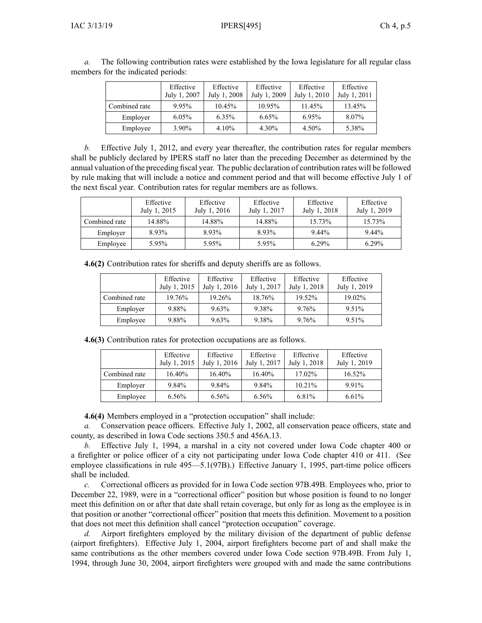|               | Effective<br>July 1, 2007 | Effective<br>July 1, 2008 | Effective<br>July 1, 2009 | Effective<br>July 1, 2010 | Effective<br>July 1, 2011 |
|---------------|---------------------------|---------------------------|---------------------------|---------------------------|---------------------------|
| Combined rate | 9.95%                     | 10.45%                    | 10.95%                    | 11.45%                    | 13.45%                    |
| Employer      | $6.05\%$                  | $6.35\%$                  | 6.65%                     | 6.95%                     | 8.07%                     |
| Employee      | 3.90%                     | 4.10%                     | 4.30%                     | 4.50%                     | 5.38%                     |

*a.* The following contribution rates were established by the Iowa legislature for all regular class members for the indicated periods:

*b.* Effective July 1, 2012, and every year thereafter, the contribution rates for regular members shall be publicly declared by IPERS staff no later than the preceding December as determined by the annual valuation of the preceding fiscal year. The public declaration of contribution rates will be followed by rule making that will include <sup>a</sup> notice and comment period and that will become effective July 1 of the next fiscal year. Contribution rates for regular members are as follows.

|               | Effective<br>July 1, 2015 | Effective<br>July 1, 2016 | Effective<br>July 1, 2017 | Effective<br>July 1, 2018 | Effective<br>July 1, 2019 |
|---------------|---------------------------|---------------------------|---------------------------|---------------------------|---------------------------|
| Combined rate | 14.88%                    | 14.88%                    | 14.88%                    | 15.73%                    | 15.73%                    |
| Employer      | 8.93%                     | 8.93%                     | 8.93%                     | 9.44%                     | 9.44%                     |
| Employee      | 5.95%                     | 5.95%                     | 5.95%                     | $6.29\%$                  | $6.29\%$                  |

**4.6(2)** Contribution rates for sheriffs and deputy sheriffs are as follows.

|               | Effective<br>July 1, 2015 | Effective<br>July 1, 2016 | Effective<br>July 1, 2017 | Effective<br>July 1, 2018 | Effective<br>July 1, 2019 |
|---------------|---------------------------|---------------------------|---------------------------|---------------------------|---------------------------|
| Combined rate | 19.76%                    | 19.26%                    | 18.76%                    | 19.52%                    | 19.02%                    |
| Employer      | 9.88%                     | $9.63\%$                  | 9.38%                     | 9.76%                     | 9.51%                     |
| Employee      | 9.88%                     | 9.63%                     | 9.38%                     | 9.76%                     | 9.51%                     |

**4.6(3)** Contribution rates for protection occupations are as follows.

|               | Effective<br>July 1, 2015 | Effective<br>July 1, 2016 | Effective<br>July 1, 2017 | Effective<br>July 1, 2018 | Effective<br>July 1, 2019 |
|---------------|---------------------------|---------------------------|---------------------------|---------------------------|---------------------------|
| Combined rate | 16.40%                    | 16.40%                    | 16.40%                    | 17.02%                    | 16.52%                    |
| Employer      | 9.84%                     | 9.84%                     | 9.84%                     | 10.21%                    | 9.91%                     |
| Employee      | 6.56%                     | 6.56%                     | 6.56%                     | 6.81%                     | 6.61%                     |

**4.6(4)** Members employed in <sup>a</sup> "protection occupation" shall include:

*a.* Conservation peace officers. Effective July 1, 2002, all conservation peace officers, state and county, as described in Iowa Code sections [350.5](https://www.legis.iowa.gov/docs/ico/section/350.5.pdf) and [456A.13](https://www.legis.iowa.gov/docs/ico/section/456A.13.pdf).

*b.* Effective July 1, 1994, <sup>a</sup> marshal in <sup>a</sup> city not covered under Iowa Code chapter [400](https://www.legis.iowa.gov/docs/ico/chapter/400.pdf) or <sup>a</sup> firefighter or police officer of <sup>a</sup> city not participating under Iowa Code chapter [410](https://www.legis.iowa.gov/docs/ico/chapter/410.pdf) or [411](https://www.legis.iowa.gov/docs/ico/chapter/411.pdf). (See employee classifications in rule [495—5.1\(97B\)](https://www.legis.iowa.gov/docs/iac/rule/495.5.1.pdf).) Effective January 1, 1995, part-time police officers shall be included.

*c.* Correctional officers as provided for in Iowa Code section [97B.49B](https://www.legis.iowa.gov/docs/ico/section/97B.49B.pdf). Employees who, prior to December 22, 1989, were in <sup>a</sup> "correctional officer" position but whose position is found to no longer meet this definition on or after that date shall retain coverage, but only for as long as the employee is in that position or another "correctional officer" position that meets this definition. Movement to <sup>a</sup> position that does not meet this definition shall cancel "protection occupation" coverage.

*d.* Airport firefighters employed by the military division of the department of public defense (airport firefighters). Effective July 1, 2004, airport firefighters become par<sup>t</sup> of and shall make the same contributions as the other members covered under Iowa Code section [97B.49B](https://www.legis.iowa.gov/docs/ico/section/97B.49B.pdf). From July 1, 1994, through June 30, 2004, airport firefighters were grouped with and made the same contributions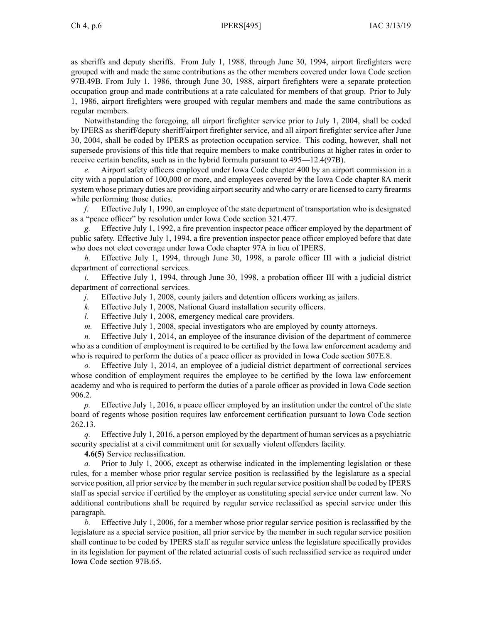as sheriffs and deputy sheriffs. From July 1, 1988, through June 30, 1994, airport firefighters were grouped with and made the same contributions as the other members covered under Iowa Code section [97B.49B](https://www.legis.iowa.gov/docs/ico/section/97B.49B.pdf). From July 1, 1986, through June 30, 1988, airport firefighters were <sup>a</sup> separate protection occupation group and made contributions at <sup>a</sup> rate calculated for members of that group. Prior to July 1, 1986, airport firefighters were grouped with regular members and made the same contributions as regular members.

Notwithstanding the foregoing, all airport firefighter service prior to July 1, 2004, shall be coded by IPERS as sheriff/deputy sheriff/airport firefighter service, and all airport firefighter service after June 30, 2004, shall be coded by IPERS as protection occupation service. This coding, however, shall not supersede provisions of this title that require members to make contributions at higher rates in order to receive certain benefits, such as in the hybrid formula pursuan<sup>t</sup> to [495—12.4](https://www.legis.iowa.gov/docs/iac/rule/495.12.4.pdf)(97B).

*e.* Airport safety officers employed under Iowa Code chapter [400](https://www.legis.iowa.gov/docs/ico/chapter/400.pdf) by an airport commission in <sup>a</sup> city with <sup>a</sup> population of 100,000 or more, and employees covered by the Iowa Code chapter [8A](https://www.legis.iowa.gov/docs/ico/chapter/8A.pdf) merit system whose primary duties are providing airport security and who carry or are licensed to carry firearms while performing those duties.

*f.* Effective July 1, 1990, an employee of the state department of transportation who is designated as <sup>a</sup> "peace officer" by resolution under Iowa Code section [321.477](https://www.legis.iowa.gov/docs/ico/section/321.477.pdf).

*g.* Effective July 1, 1992, <sup>a</sup> fire prevention inspector peace officer employed by the department of public safety. Effective July 1, 1994, <sup>a</sup> fire prevention inspector peace officer employed before that date who does not elect coverage under Iowa Code chapter [97A](https://www.legis.iowa.gov/docs/ico/chapter/97A.pdf) in lieu of IPERS.

*h.* Effective July 1, 1994, through June 30, 1998, <sup>a</sup> parole officer III with <sup>a</sup> judicial district department of correctional services.

*i.* Effective July 1, 1994, through June 30, 1998, <sup>a</sup> probation officer III with <sup>a</sup> judicial district department of correctional services.

*j.* Effective July 1, 2008, county jailers and detention officers working as jailers.

*k.* Effective July 1, 2008, National Guard installation security officers.

*l.* Effective July 1, 2008, emergency medical care providers.

*m.* Effective July 1, 2008, special investigators who are employed by county attorneys.

*n.* Effective July 1, 2014, an employee of the insurance division of the department of commerce who as <sup>a</sup> condition of employment is required to be certified by the Iowa law enforcement academy and who is required to perform the duties of a peace officer as provided in Iowa Code section [507E.8](https://www.legis.iowa.gov/docs/ico/section/507E.8.pdf).

*o.* Effective July 1, 2014, an employee of <sup>a</sup> judicial district department of correctional services whose condition of employment requires the employee to be certified by the Iowa law enforcement academy and who is required to perform the duties of <sup>a</sup> parole officer as provided in Iowa Code section [906.2](https://www.legis.iowa.gov/docs/ico/section/906.2.pdf).

*p.* Effective July 1, 2016, <sup>a</sup> peace officer employed by an institution under the control of the state board of regents whose position requires law enforcement certification pursuan<sup>t</sup> to Iowa Code section [262.13](https://www.legis.iowa.gov/docs/ico/section/2017/262.13.pdf).

*q.* Effective July 1, 2016, <sup>a</sup> person employed by the department of human services as <sup>a</sup> psychiatric security specialist at <sup>a</sup> civil commitment unit for sexually violent offenders facility.

**4.6(5)** Service reclassification.

*Prior to July 1, 2006, except as otherwise indicated in the implementing legislation or these* rules, for <sup>a</sup> member whose prior regular service position is reclassified by the legislature as <sup>a</sup> special service position, all prior service by the member in such regular service position shall be coded by IPERS staff as special service if certified by the employer as constituting special service under current law. No additional contributions shall be required by regular service reclassified as special service under this paragraph.

*b.* Effective July 1, 2006, for <sup>a</sup> member whose prior regular service position is reclassified by the legislature as <sup>a</sup> special service position, all prior service by the member in such regular service position shall continue to be coded by IPERS staff as regular service unless the legislature specifically provides in its legislation for paymen<sup>t</sup> of the related actuarial costs of such reclassified service as required under Iowa Code section [97B.65](https://www.legis.iowa.gov/docs/ico/section/97B.65.pdf).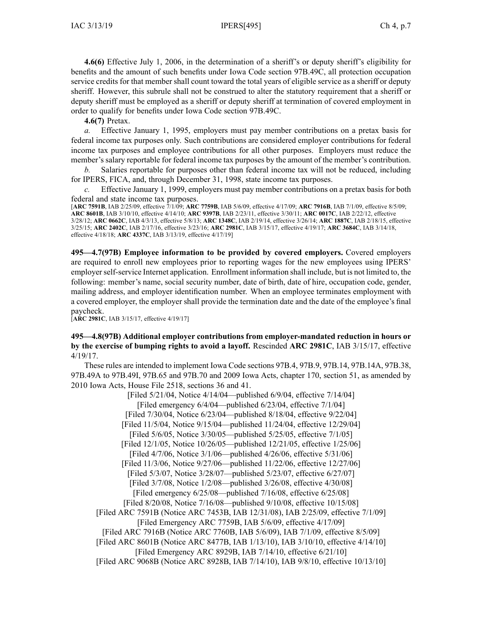**4.6(6)** Effective July 1, 2006, in the determination of <sup>a</sup> sheriff's or deputy sheriff's eligibility for benefits and the amount of such benefits under Iowa Code section [97B.49C](https://www.legis.iowa.gov/docs/ico/section/97B.49C.pdf), all protection occupation service credits for that member shall count toward the total years of eligible service as <sup>a</sup> sheriff or deputy sheriff. However, this subrule shall not be construed to alter the statutory requirement that <sup>a</sup> sheriff or deputy sheriff must be employed as <sup>a</sup> sheriff or deputy sheriff at termination of covered employment in order to qualify for benefits under Iowa Code section [97B.49C](https://www.legis.iowa.gov/docs/ico/section/97B.49C.pdf).

**4.6(7)** Pretax.

*a.* Effective January 1, 1995, employers must pay member contributions on <sup>a</sup> pretax basis for federal income tax purposes only. Such contributions are considered employer contributions for federal income tax purposes and employee contributions for all other purposes. Employers must reduce the member's salary reportable for federal income tax purposes by the amount of the member's contribution.

*b.* Salaries reportable for purposes other than federal income tax will not be reduced, including for IPERS, FICA, and, through December 31, 1998, state income tax purposes.

*c.* Effective January 1, 1999, employers must pay member contributions on <sup>a</sup> pretax basis for both federal and state income tax purposes.

[**ARC [7591B](https://www.legis.iowa.gov/docs/aco/arc/7591B.pdf)**, IAB 2/25/09, effective 7/1/09; **ARC [7759B](https://www.legis.iowa.gov/docs/aco/arc/7759B.pdf)**, IAB 5/6/09, effective 4/17/09; **ARC [7916B](https://www.legis.iowa.gov/docs/aco/arc/7916B.pdf)**, IAB 7/1/09, effective 8/5/09; **ARC [8601B](https://www.legis.iowa.gov/docs/aco/arc/8601B.pdf)**, IAB 3/10/10, effective 4/14/10; **ARC [9397B](https://www.legis.iowa.gov/docs/aco/arc/9397B.pdf)**, IAB 2/23/11, effective 3/30/11; **ARC [0017C](https://www.legis.iowa.gov/docs/aco/arc/0017C.pdf)**, IAB 2/22/12, effective 3/28/12; **ARC [0662C](https://www.legis.iowa.gov/docs/aco/arc/0662C.pdf)**, IAB 4/3/13, effective 5/8/13; **ARC [1348C](https://www.legis.iowa.gov/docs/aco/arc/1348C.pdf)**, IAB 2/19/14, effective 3/26/14; **ARC [1887C](https://www.legis.iowa.gov/docs/aco/arc/1887C.pdf)**, IAB 2/18/15, effective 3/25/15; **ARC [2402C](https://www.legis.iowa.gov/docs/aco/arc/2402C.pdf)**, IAB 2/17/16, effective 3/23/16; **ARC [2981C](https://www.legis.iowa.gov/docs/aco/arc/2981C.pdf)**, IAB 3/15/17, effective 4/19/17; **ARC [3684C](https://www.legis.iowa.gov/docs/aco/arc/3684C.pdf)**, IAB 3/14/18, effective 4/18/18; **ARC [4337C](https://www.legis.iowa.gov/docs/aco/arc/4337C.pdf)**, IAB 3/13/19, effective 4/17/19]

**495—4.7(97B) Employee information to be provided by covered employers.** Covered employers are required to enroll new employees prior to reporting wages for the new employees using IPERS' employerself-service Internet application. Enrollment information shall include, but is not limited to, the following: member's name, social security number, date of birth, date of hire, occupation code, gender, mailing address, and employer identification number. When an employee terminates employment with <sup>a</sup> covered employer, the employer shall provide the termination date and the date of the employee's final paycheck.

[**ARC [2981C](https://www.legis.iowa.gov/docs/aco/arc/2981C.pdf)**, IAB 3/15/17, effective 4/19/17]

## **495—4.8(97B) Additional employer contributions from employer-mandated reduction in hours or by the exercise of bumping rights to avoid <sup>a</sup> layoff.** Rescinded **ARC 2981C**, IAB [3/15/17](https://www.legis.iowa.gov/docs/aco/bulletin/03-15-2017.pdf), effective 4/19/17.

These rules are intended to implement Iowa Code sections [97B.4](https://www.legis.iowa.gov/docs/ico/section/97B.4.pdf), [97B.9](https://www.legis.iowa.gov/docs/ico/section/97B.9.pdf), [97B.14](https://www.legis.iowa.gov/docs/ico/section/97B.14.pdf), [97B.14A](https://www.legis.iowa.gov/docs/ico/section/97B.14A.pdf), [97B.38](https://www.legis.iowa.gov/docs/ico/section/97B.38.pdf), 97B.49A to [97B.49I](https://www.legis.iowa.gov/docs/ico/section/97B.49A-49I.pdf), [97B.65](https://www.legis.iowa.gov/docs/ico/section/97B.65.pdf) and [97B.70](https://www.legis.iowa.gov/docs/ico/section/97B.70.pdf) and 2009 Iowa Acts, chapter 170, section 51, as amended by 2010 Iowa Acts, House File 2518, sections 36 and 41.

[Filed 5/21/04, Notice 4/14/04—published 6/9/04, effective 7/14/04] [Filed emergency 6/4/04—published 6/23/04, effective 7/1/04] [Filed 7/30/04, Notice 6/23/04—published 8/18/04, effective 9/22/04] [Filed 11/5/04, Notice 9/15/04—published 11/24/04, effective 12/29/04] [Filed 5/6/05, Notice 3/30/05—published 5/25/05, effective 7/1/05] [Filed 12/1/05, Notice 10/26/05—published 12/21/05, effective 1/25/06] [Filed 4/7/06, Notice 3/1/06—published 4/26/06, effective 5/31/06] [Filed 11/3/06, Notice 9/27/06—published 11/22/06, effective 12/27/06] [Filed 5/3/07, Notice 3/28/07—published 5/23/07, effective 6/27/07] [Filed 3/7/08, Notice 1/2/08—published 3/26/08, effective 4/30/08] [Filed emergency 6/25/08—published 7/16/08, effective 6/25/08] [Filed 8/20/08, Notice 7/16/08—published 9/10/08, effective 10/15/08] [Filed ARC [7591B](https://www.legis.iowa.gov/docs/aco/arc/7591B.pdf) ([Notice](https://www.legis.iowa.gov/docs/aco/arc/7453B.pdf) ARC 7453B, IAB 12/31/08), IAB 2/25/09, effective 7/1/09] [Filed [Emergency](https://www.legis.iowa.gov/docs/aco/arc/7759B.pdf) ARC 7759B, IAB 5/6/09, effective 4/17/09] [\[Filed](https://www.legis.iowa.gov/docs/aco/arc/7916B.pdf) ARC 7916B ([Notice](https://www.legis.iowa.gov/docs/aco/arc/7760B.pdf) ARC 7760B, IAB 5/6/09), IAB 7/1/09, effective 8/5/09] [[Filed](https://www.legis.iowa.gov/docs/aco/arc/8601B.pdf) ARC 8601B ([Notice](https://www.legis.iowa.gov/docs/aco/arc/8477B.pdf) ARC 8477B, IAB 1/13/10), IAB 3/10/10, effective 4/14/10] [Filed [Emergency](https://www.legis.iowa.gov/docs/aco/arc/8929B.pdf) ARC 8929B, IAB 7/14/10, effective 6/21/10] [Filed ARC [9068B](https://www.legis.iowa.gov/docs/aco/arc/9068B.pdf) ([Notice](https://www.legis.iowa.gov/docs/aco/arc/8928B.pdf) ARC 8928B, IAB 7/14/10), IAB 9/8/10, effective 10/13/10]